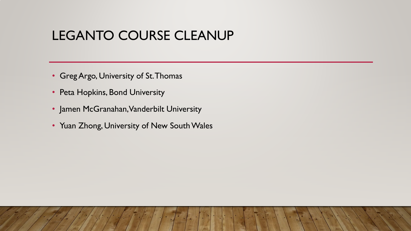### LEGANTO COURSE CLEANUP

- Greg Argo, University of St. Thomas
- Peta Hopkins, Bond University
- Jamen McGranahan, Vanderbilt University
- Yuan Zhong, University of New South Wales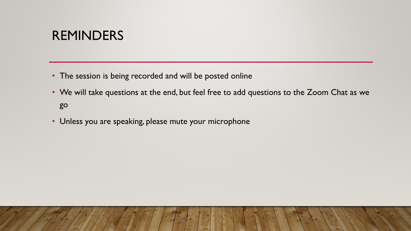#### **REMINDERS**

- The session is being recorded and will be posted online
- We will take questions at the end, but feel free to add questions to the Zoom Chat as we go
- Unless you are speaking, please mute your microphone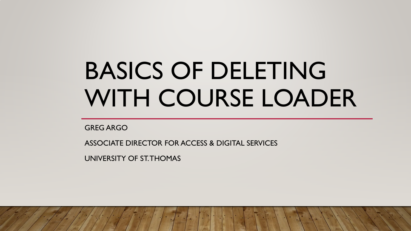# BASICS OF DELETING WITH COURSE LOADER

GREG ARGO

ASSOCIATE DIRECTOR FOR ACCESS & DIGITAL SERVICES

UNIVERSITY OF ST. THOMAS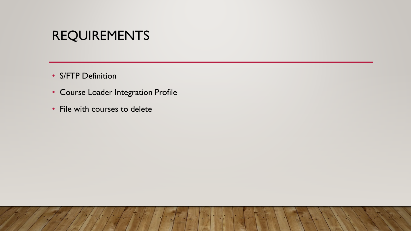#### REQUIREMENTS

- S/FTP Definition
- Course Loader Integration Profile
- File with courses to delete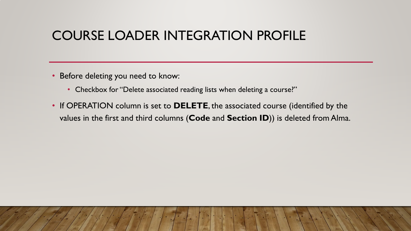# COURSE LOADER INTEGRATION PROFILE

- Before deleting you need to know:
	- Checkbox for "Delete associated reading lists when deleting a course?"
- If OPERATION column is set to **DELETE**, the associated course (identified by the values in the first and third columns (**Code** and **Section ID**)) is deleted from Alma.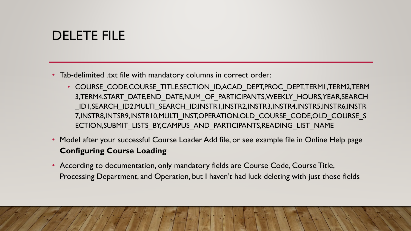# DELETE FILE

- Tab-delimited .txt file with mandatory columns in correct order:
	- COURSE\_CODE,COURSE\_TITLE,SECTION\_ID,ACAD\_DEPT,PROC\_DEPT,TERM1,TERM2,TERM 3,TERM4,START\_DATE,END\_DATE,NUM\_OF\_PARTICIPANTS,WEEKLY\_HOURS,YEAR,SEARCH \_ID1,SEARCH\_ID2,MULTI\_SEARCH\_ID,INSTR1,INSTR2,INSTR3,INSTR4,INSTR5,INSTR6,INSTR 7, INSTR8, INTSR9, INSTR10, MULTI\_INST, OPERATION, OLD\_COURSE\_CODE, OLD\_COURSE\_S ECTION,SUBMIT\_LISTS\_BY,CAMPUS\_AND\_PARTICIPANTS,READING\_LIST\_NAME
- Model after your successful Course Loader Add file, or see example file in Online Help page **Configuring Course Loading**
- According to documentation, only mandatory fields are Course Code, Course Title, Processing Department, and Operation, but I haven't had luck deleting with just those fields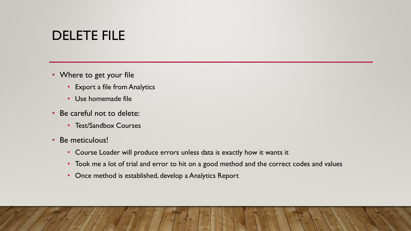# DELETE FILE

- Where to get your file
	- Export a file from Analytics
	- Use homemade file
- Be careful not to delete:
	- Test/Sandbox Courses
- Be meticulous!
	- Course Loader will produce errors unless data is exactly how it wants it
	- Took me a lot of trial and error to hit on a good method and the correct codes and values
	- Once method is established, develop a Analytics Report